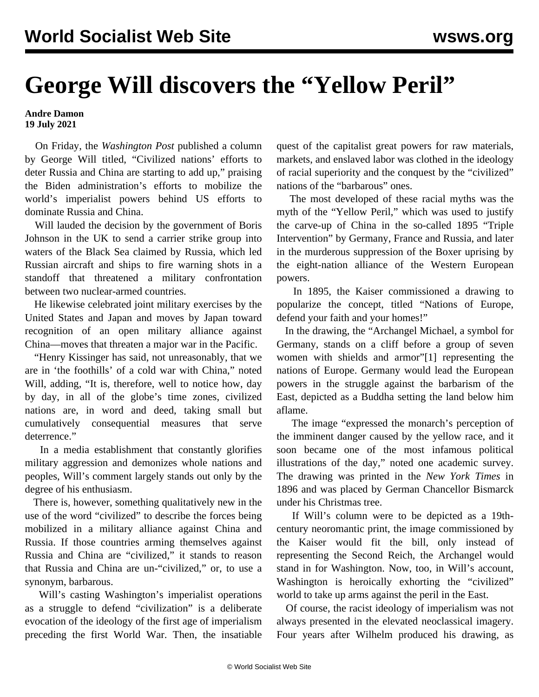## **George Will discovers the "Yellow Peril"**

## **Andre Damon 19 July 2021**

 On Friday, the *Washington Post* published a column by George Will titled, "Civilized nations' efforts to deter Russia and China are starting to add up," praising the Biden administration's efforts to mobilize the world's imperialist powers behind US efforts to dominate Russia and China.

 Will lauded the decision by the government of Boris Johnson in the UK to send a carrier strike group into waters of the Black Sea claimed by Russia, which led Russian aircraft and ships to fire warning shots in a standoff that threatened a military confrontation between two nuclear-armed countries.

 He likewise celebrated joint military exercises by the United States and Japan and moves by Japan toward recognition of an open military alliance against China—moves that threaten a major war in the Pacific.

 "Henry Kissinger has said, not unreasonably, that we are in 'the foothills' of a cold war with China," noted Will, adding, "It is, therefore, well to notice how, day by day, in all of the globe's time zones, civilized nations are, in word and deed, taking small but cumulatively consequential measures that serve deterrence."

 In a media establishment that constantly glorifies military aggression and demonizes whole nations and peoples, Will's comment largely stands out only by the degree of his enthusiasm.

 There is, however, something qualitatively new in the use of the word "civilized" to describe the forces being mobilized in a military alliance against China and Russia. If those countries arming themselves against Russia and China are "civilized," it stands to reason that Russia and China are un-"civilized," or, to use a synonym, barbarous.

 Will's casting Washington's imperialist operations as a struggle to defend "civilization" is a deliberate evocation of the ideology of the first age of imperialism preceding the first World War. Then, the insatiable quest of the capitalist great powers for raw materials, markets, and enslaved labor was clothed in the ideology of racial superiority and the conquest by the "civilized" nations of the "barbarous" ones.

 The most developed of these racial myths was the myth of the "Yellow Peril," which was used to justify the carve-up of China in the so-called 1895 "Triple Intervention" by Germany, France and Russia, and later in the murderous suppression of the Boxer uprising by the eight-nation alliance of the Western European powers.

 In 1895, the Kaiser commissioned a drawing to popularize the concept, titled "Nations of Europe, defend your faith and your homes!"

 In the drawing, the "Archangel Michael, a symbol for Germany, stands on a cliff before a group of seven women with shields and armor"[1] representing the nations of Europe. Germany would lead the European powers in the struggle against the barbarism of the East, depicted as a Buddha setting the land below him aflame.

 The image "expressed the monarch's perception of the imminent danger caused by the yellow race, and it soon became one of the most infamous political illustrations of the day," noted one academic survey. The drawing was printed in the *New York Times* in 1896 and was placed by German Chancellor Bismarck under his Christmas tree.

 If Will's column were to be depicted as a 19thcentury neoromantic print, the image commissioned by the Kaiser would fit the bill, only instead of representing the Second Reich, the Archangel would stand in for Washington. Now, too, in Will's account, Washington is heroically exhorting the "civilized" world to take up arms against the peril in the East.

 Of course, the racist ideology of imperialism was not always presented in the elevated neoclassical imagery. Four years after Wilhelm produced his drawing, as